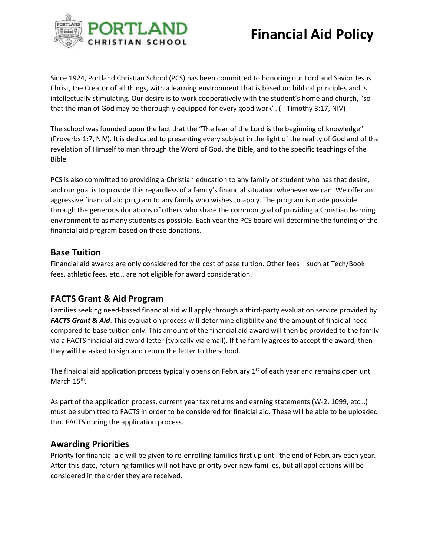

Since 1924, Portland Christian School (PCS) has been committed to honoring our Lord and Savior Jesus Christ, the Creator of all things, with a learning environment that is based on biblical principles and is intellectually stimulating. Our desire is to work cooperatively with the student's home and church, "so that the man of God may be thoroughly equipped for every good work". (II Timothy 3:17, NIV)

The school was founded upon the fact that the "The fear of the Lord is the beginning of knowledge" (Proverbs 1:7, NIV). It is dedicated to presenting every subject in the light of the reality of God and of the revelation of Himself to man through the Word of God, the Bible, and to the specific teachings of the Bible.

PCS is also committed to providing a Christian education to any family or student who has that desire, and our goal is to provide this regardless of a family's financial situation whenever we can. We offer an aggressive financial aid program to any family who wishes to apply. The program is made possible through the generous donations of others who share the common goal of providing a Christian learning environment to as many students as possible. Each year the PCS board will determine the funding of the financial aid program based on these donations.

#### **Base Tuition**

Financial aid awards are only considered for the cost of base tuition. Other fees – such at Tech/Book fees, athletic fees, etc… are not eligible for award consideration.

### **FACTS Grant & Aid Program**

Families seeking need-based financial aid will apply through a third-party evaluation service provided by *FACTS Grant & Aid*. This evaluation process will determine eligibility and the amount of finaicial need compared to base tuition only. This amount of the financial aid award will then be provided to the family via a FACTS finaicial aid award letter (typically via email). If the family agrees to accept the award, then they will be asked to sign and return the letter to the school.

The finaicial aid application process typically opens on February  $1<sup>st</sup>$  of each year and remains open until March 15<sup>th</sup>.

As part of the application process, current year tax returns and earning statements (W-2, 1099, etc…) must be submitted to FACTS in order to be considered for finaicial aid. These will be able to be uploaded thru FACTS during the application process.

### **Awarding Priorities**

Priority for financial aid will be given to re-enrolling families first up until the end of February each year. After this date, returning families will not have priority over new families, but all applications will be considered in the order they are received.